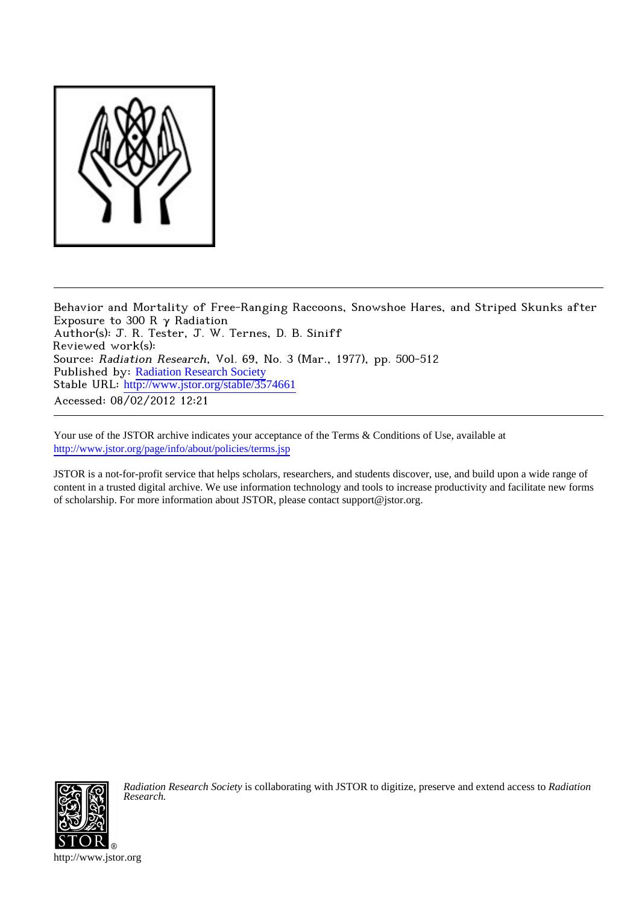

Behavior and Mortality of Free-Ranging Raccoons, Snowshoe Hares, and Striped Skunks after Exposure to 300 R  $\gamma$  Radiation Author(s): J. R. Tester, J. W. Ternes, D. B. Siniff Reviewed work(s): Source: Radiation Research, Vol. 69, No. 3 (Mar., 1977), pp. 500-512 Published by: [Radiation Research Society](http://www.jstor.org/action/showPublisher?publisherCode=rrs) Stable URL: [http://www.jstor.org/stable/3574661](http://www.jstor.org/stable/3574661?origin=JSTOR-pdf) Accessed: 08/02/2012 12:21

Your use of the JSTOR archive indicates your acceptance of the Terms & Conditions of Use, available at <http://www.jstor.org/page/info/about/policies/terms.jsp>

JSTOR is a not-for-profit service that helps scholars, researchers, and students discover, use, and build upon a wide range of content in a trusted digital archive. We use information technology and tools to increase productivity and facilitate new forms of scholarship. For more information about JSTOR, please contact support@jstor.org.



*Radiation Research Society* is collaborating with JSTOR to digitize, preserve and extend access to *Radiation Research.*

http://www.jstor.org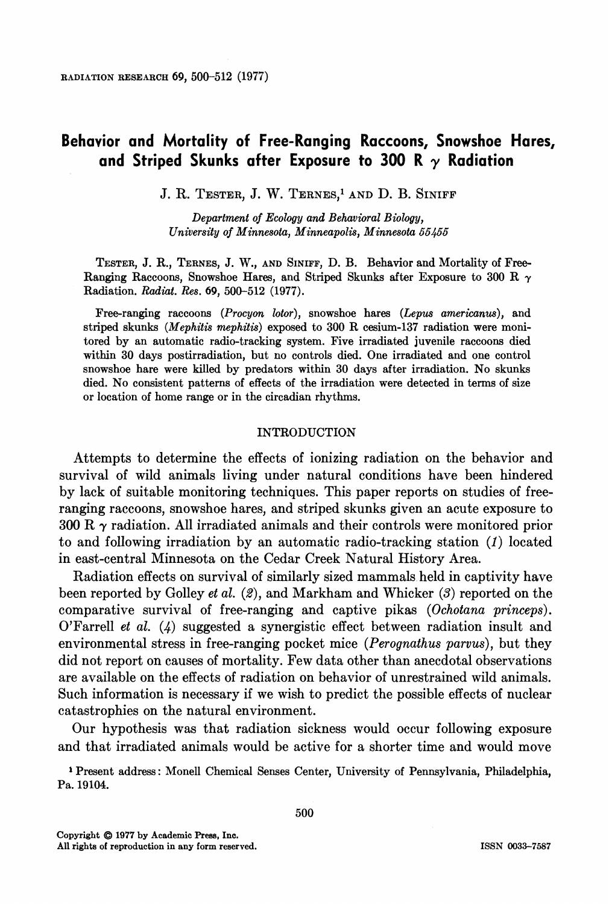# **Behavior and Mortality of Free-Ranging Raccoons, Snowshoe Hares, and Striped Skunks after Exposure to 300 R y Radiation**

**J. R. TESTER, J. W. TERNES,1 AND D. B. SINIFF** 

**Department of Ecology and Behavioral Biology, University of Minnesota, Minneapolis, Minnesota 55455** 

**TESTER, J. R., TERNES, J. W., AND SINIFF, D. B. Behavior and Mortality of Free-Ranging Raccoons, Snowshoe Hares, and Striped Skunks after Exposure to 300 R y Radiation. Radiat. Res. 69, 500-512 (1977).** 

**Free-ranging raccoons (Procyon lotor), snowshoe hares (Lepus americanus), and striped skunks (Mephitis mephitis) exposed to 300 R cesium-137 radiation were monitored by an automatic radio-tracking system. Five irradiated juvenile raccoons died within 30 days postirradiation, but no controls died. One irradiated and one control snowshoe hare were killed by predators within 30 days after irradiation. No skunks died. No consistent patterns of effects of the irradiation were detected in terms of size or location of home range or in the circadian rhythms.** 

## **INTRODUCTION**

**Attempts to determine the effects of ionizing radiation on the behavior and survival of wild animals living under natural conditions have been hindered by lack of suitable monitoring techniques. This paper reports on studies of freeranging raccoons, snowshoe hares, and striped skunks given an acute exposure to 300 R y radiation. All irradiated animals and their controls were monitored prior to and following irradiation by an automatic radio-tracking station (1) located in east-central Minnesota on the Cedar Creek Natural History Area.** 

**Radiation effects on survival of similarly sized mammals held in captivity have been reported by Golley et al. (2), and Markham and Whicker (3) reported on the comparative survival of free-ranging and captive pikas (Ochotana princeps). O'Farrell et al. (4) suggested a synergistic effect between radiation insult and environmental stress in free-ranging pocket mice (Perognathus parvus), but they did not report on causes of mortality. Few data other than anecdotal observations are available on the effects of radiation on behavior of unrestrained wild animals. Such information is necessary if we wish to predict the possible effects of nuclear catastrophies on the natural environment.** 

**Our hypothesis was that radiation sickness would occur following exposure and that irradiated animals would be active for a shorter time and would move** 

**<sup>1</sup>Present address: Monell Chemical Senses Center, University of Pennsylvania, Philadelphia, Pa. 19104.**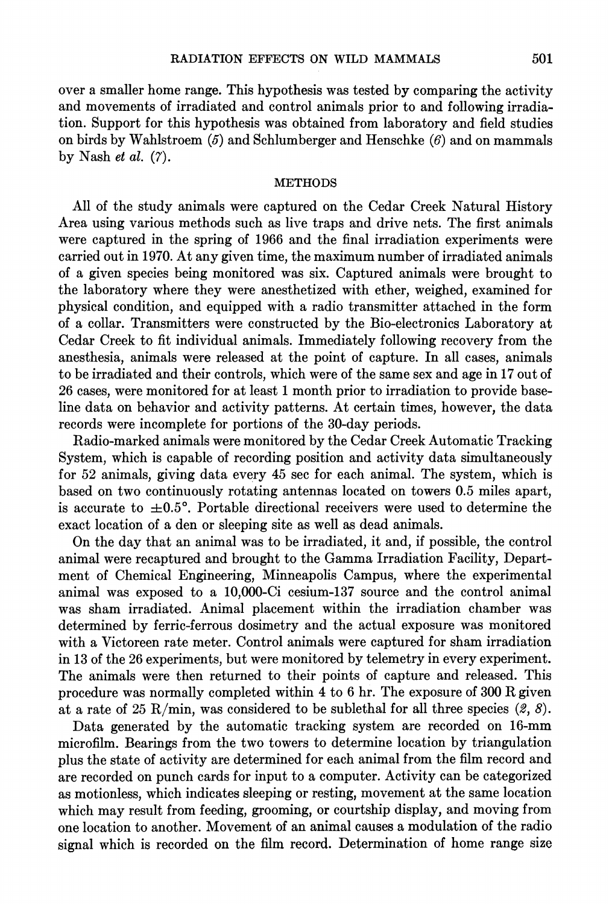**over a smaller home range. This hypothesis was tested by comparing the activity and movements of irradiated and control animals prior to and following irradiation. Support for this hypothesis was obtained from laboratory and field studies on birds by Wahlstroem (5) and Schlumberger and Henschke (6) and on mammals by Nash et al. (7).** 

#### **METHODS**

**All of the study animals were captured on the Cedar Creek Natural History Area using various methods such as live traps and drive nets. The first animals were captured in the spring of 1966 and the final irradiation experiments were carried out in 1970. At any given time, the maximum number of irradiated animals of a given species being monitored was six. Captured animals were brought to the laboratory where they were anesthetized with ether, weighed, examined for physical condition, and equipped with a radio transmitter attached in the form of a collar. Transmitters were constructed by the Bio-electronics Laboratory at Cedar Creek to fit individual animals. Immediately following recovery from the anesthesia, animals were released at the point of capture. In all cases, animals to be irradiated and their controls, which were of the same sex and age in 17 out of 26 cases, were monitored for at least 1 month prior to irradiation to provide baseline data on behavior and activity patterns. At certain times, however, the data records were incomplete for portions of the 30-day periods.** 

**Radio-marked animals were monitored by the Cedar Creek Automatic Tracking System, which is capable of recording position and activity data simultaneously for 52 animals, giving data every 45 sec for each animal. The system, which is based on two continuously rotating antennas located on towers 0.5 miles apart,**  is accurate to  $\pm 0.5^{\circ}$ . Portable directional receivers were used to determine the **exact location of a den or sleeping site as well as dead animals.** 

**On the day that an animal was to be irradiated, it and, if possible, the control animal were recaptured and brought to the Gamma Irradiation Facility, Department of Chemical Engineering, Minneapolis Campus, where the experimental animal was exposed to a 10,000-Ci cesium-137 source and the control animal was sham irradiated. Animal placement within the irradiation chamber was determined by ferric-ferrous dosimetry and the actual exposure was monitored with a Victoreen rate meter. Control animals were captured for sham irradiation in 13 of the 26 experiments, but were monitored by telemetry in every experiment. The animals were then returned to their points of capture and released. This procedure was normally completed within 4 to 6 hr. The exposure of 300 R given**  at a rate of 25 R/min, was considered to be sublethal for all three species  $(2, 8)$ .

**Data generated by the automatic tracking system are recorded on 16-mm microfilm. Bearings from the two towers to determine location by triangulation plus the state of activity are determined for each animal from the film record and are recorded on punch cards for input to a computer. Activity can be categorized as motionless, which indicates sleeping or resting, movement at the same location which may result from feeding, grooming, or courtship display, and moving from one location to another. Movement of an animal causes a modulation of the radio signal which is recorded on the film record. Determination of home range size**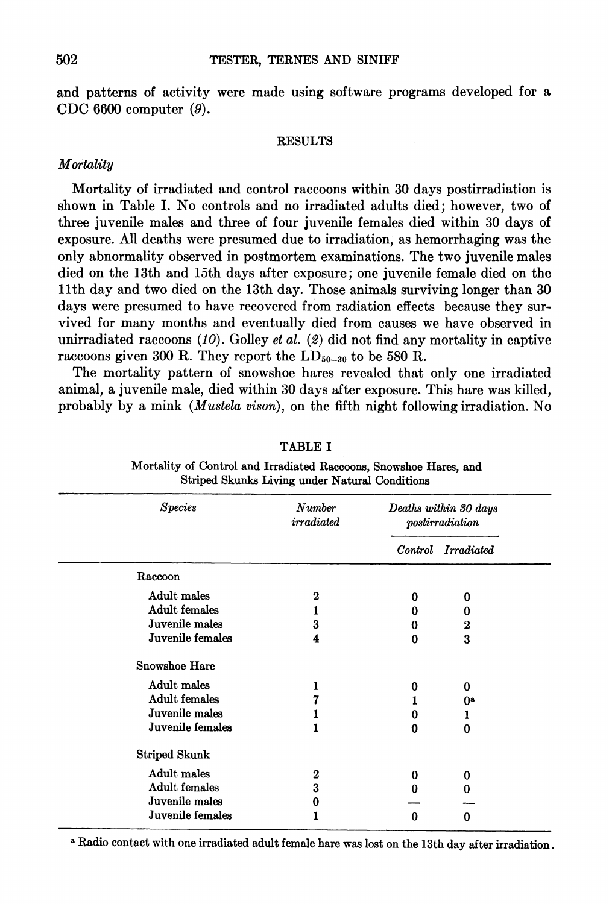**and patterns of activity were made using software programs developed for a CDC 6600 computer (9).** 

#### **RESULTS**

# **Mortality**

**Mortality of irradiated and control raccoons within 30 days postirradiation is shown in Table I. No controls and no irradiated adults died; however, two of three juvenile males and three of four juvenile females died within 30 days of exposure. All deaths were presumed due to irradiation, as hemorrhaging was the only abnormality observed in postmortem examinations. The two juvenile males died on the 13th and 15th days after exposure; one juvenile female died on the llth day and two died on the 13th day. Those animals surviving longer than 30 days were presumed to have recovered from radiation effects because they survived for many months and eventually died from causes we have observed in unirradiated raccoons (10). Golley et al. (2) did not find any mortality in captive**  raccoons given 300 R. They report the  $LD_{50-30}$  to be 580 R.

**The mortality pattern of snowshoe hares revealed that only one irradiated animal, a juvenile male, died within 30 days after exposure. This hare was killed, probably by a mink (Mustela vison), on the fifth night following irradiation. No** 

| <b>Species</b>       | Number<br>irradiated | Deaths within 30 days<br>postirradiation |                   |  |
|----------------------|----------------------|------------------------------------------|-------------------|--|
|                      |                      | $\emph{Control}$                         | <i>Irradiated</i> |  |
| Raccoon              |                      |                                          |                   |  |
| Adult males          | $\boldsymbol{2}$     | 0                                        | 0                 |  |
| <b>Adult females</b> | 1                    | 0                                        | 0                 |  |
| Juvenile males       | 3                    | 0                                        | $\boldsymbol{2}$  |  |
| Juvenile females     | 4                    | 0                                        | 3                 |  |
| Snowshoe Hare        |                      |                                          |                   |  |
| Adult males          | ı                    | 0                                        | 0                 |  |
| Adult females        |                      |                                          | 0ª                |  |
| Juvenile males       |                      | 0                                        | ı                 |  |
| Juvenile females     |                      | 0                                        | $\Omega$          |  |
| Striped Skunk        |                      |                                          |                   |  |
| Adult males          | $\bf{2}$             | 0                                        | 0                 |  |
| <b>Adult females</b> | 3                    | O                                        | 0                 |  |
| Juvenile males       | 0                    |                                          |                   |  |
| Juvenile females     |                      | 0                                        | 0                 |  |

**Mortality of Control and Irradiated Raccoons, Snowshoe Hares, and Striped Skunks Living under Natural Conditions** 

**TABLE I** 

**<sup>a</sup>Radio contact with one irradiated adult female hare was lost on the 13th day after irradiation.** 

**502**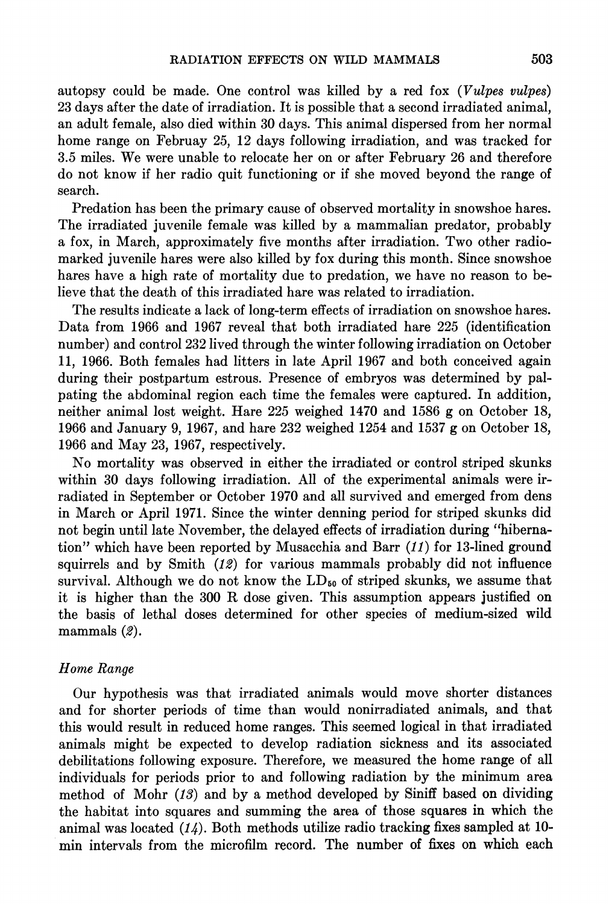**autopsy could be made. One control was killed by a red fox (Vulpes vulpes) 23 days after the date of irradiation. It is possible that a second irradiated animal, an adult female, also died within 30 days. This animal dispersed from her normal home range on Februay 25, 12 days following irradiation, and was tracked for 3.5 miles. We were unable to relocate her on or after February 26 and therefore do not know if her radio quit functioning or if she moved beyond the range of search.** 

**Predation has been the primary cause of observed mortality in snowshoe hares. The irradiated juvenile female was killed by a mammalian predator, probably a fox, in March, approximately five months after irradiation. Two other radiomarked juvenile hares were also killed by fox during this month. Since snowshoe hares have a high rate of mortality due to predation, we have no reason to believe that the death of this irradiated hare was related to irradiation.** 

**The results indicate a lack of long-term effects of irradiation on snowshoe hares. Data from 1966 and 1967 reveal that both irradiated hare 225 (identification number) and control 232 lived through the winter following irradiation on October 11, 1966. Both females had litters in late April 1967 and both conceived again during their postpartum estrous. Presence of embryos was determined by palpating the abdominal region each time the females were captured. In addition, neither animal lost weight. Hare 225 weighed 1470 and 1586 g on October 18, 1966 and January 9, 1967, and hare 232 weighed 1254 and 1537 g on October 18, 1966 and May 23, 1967, respectively.** 

**No mortality was observed in either the irradiated or control striped skunks within 30 days following irradiation. All of the experimental animals were irradiated in September or October 1970 and all survived and emerged from dens in March or April 1971. Since the winter denning period for striped skunks did not begin until late November, the delayed effects of irradiation during "hibernation" which have been reported by Musacchia and Barr (11) for 13-lined ground squirrels and by Smith (12) for various mammals probably did not influence**  survival. Although we do not know the LD<sub>50</sub> of striped skunks, we assume that **it is higher than the 300 R dose given. This assumption appears justified on the basis of lethal doses determined for other species of medium-sized wild mammals (2).** 

## **Home Range**

**Our hypothesis was that irradiated animals would move shorter distances and for shorter periods of time than would nonirradiated animals, and that this would result in reduced home ranges. This seemed logical in that irradiated animals might be expected to develop radiation sickness and its associated debilitations following exposure. Therefore, we measured the home range of all individuals for periods prior to and following radiation by the minimum area method of Mohr (13) and by a method developed by Siniff based on dividing the habitat into squares and summing the area of those squares in which the animal was located (14). Both methods utilize radio tracking fixes sampled at 10 min intervals from the microfilm record. The number of fixes on which each**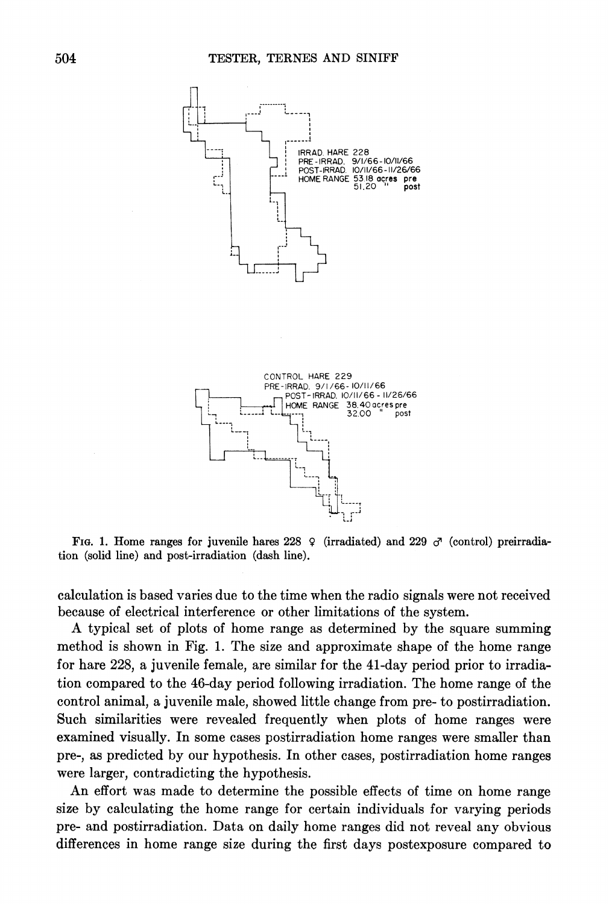

FIG. 1. Home ranges for juvenile hares  $228 \, \circ \,$  (irradiated) and  $229 \, \circ \,$  (control) preirradia**tion (solid line) and post-irradiation (dash line).** 

**calculation is based varies due to the time when the radio signals were not received because of electrical interference or other limitations of the system.** 

**A typical set of plots of home range as determined by the square summing method is shown in Fig. 1. The size and approximate shape of the home range for hare 228, a juvenile female, are similar for the 41-day period prior to irradiation compared to the 46-day period following irradiation. The home range of the control animal, a juvenile male, showed little change from pre- to postirradiation. Such similarities were revealed frequently when plots of home ranges were examined visually. In some cases postirradiation home ranges were smaller than pre-, as predicted by our hypothesis. In other cases, postirradiation home ranges were larger, contradicting the hypothesis.** 

**An effort was made to determine the possible effects of time on home range size by calculating the home range for certain individuals for varying periods pre- and postirradiation. Data on daily home ranges did not reveal any obvious differences in home range size during the first days postexposure compared to**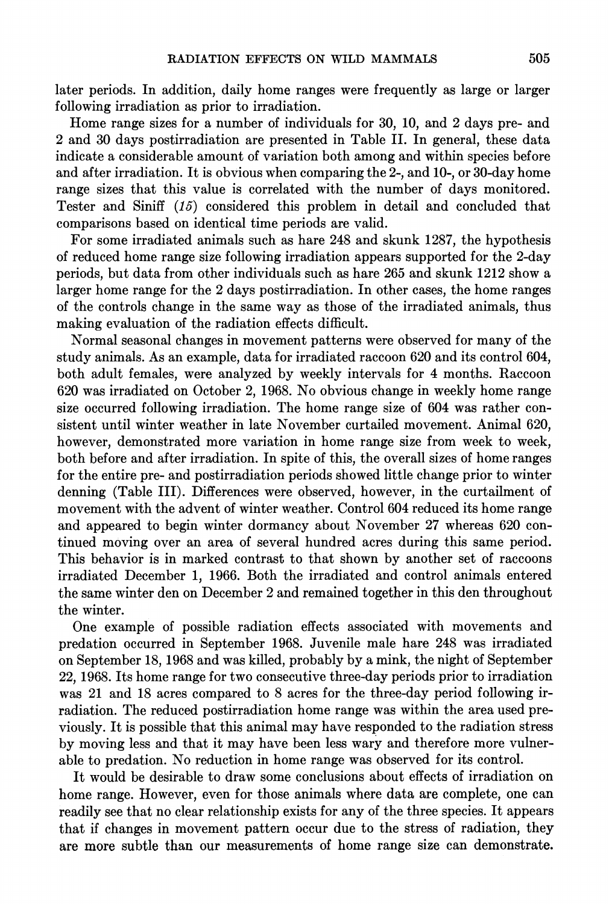**later periods. In addition, daily home ranges were frequently as large or larger following irradiation as prior to irradiation.** 

**Home range sizes for a number of individuals for 30, 10, and 2 days pre- and 2 and 30 days postirradiation are presented in Table II. In general, these data indicate a considerable amount of variation both among and within species before and after irradiation. It is obvious when comparing the 2-, and 10-, or 30-day home range sizes that this value is correlated with the number of days monitored. Tester and Siniff (15) considered this problem in detail and concluded that comparisons based on identical time periods are valid.** 

**For some irradiated animals such as hare 248 and skunk 1287, the hypothesis of reduced home range size following irradiation appears supported for the 2-day periods, but data from other individuals such as hare 265 and skunk 1212 show a larger home range for the 2 days postirradiation. In other cases, the home ranges of the controls change in the same way as those of the irradiated animals, thus making evaluation of the radiation effects difficult.** 

**Normal seasonal changes in movement patterns were observed for many of the study animals. As an example, data for irradiated raccoon 620 and its control 604, both adult females, were analyzed by weekly intervals for 4 months. Raccoon 620 was irradiated on October 2, 1968. No obvious change in weekly home range size occurred following irradiation. The home range size of 604 was rather consistent until winter weather in late November curtailed movement. Animal 620, however, demonstrated more variation in home range size from week to week, both before and after irradiation. In spite of this, the overall sizes of home ranges for the entire pre- and postirradiation periods showed little change prior to winter denning (Table III). Differences were observed, however, in the curtailment of movement with the advent of winter weather. Control 604 reduced its home range and appeared to begin winter dormancy about November 27 whereas 620 continued moving over an area of several hundred acres during this same period. This behavior is in marked contrast to that shown by another set of raccoons irradiated December 1, 1966. Both the irradiated and control animals entered the same winter den on December 2 and remained together in this den throughout the winter.** 

**One example of possible radiation effects associated with movements and predation occurred in September 1968. Juvenile male hare 248 was irradiated on September 18, 1968 and was killed, probably by a mink, the night of September 22, 1968. Its home range for two consecutive three-day periods prior to irradiation was 21 and 18 acres compared to 8 acres for the three-day period following irradiation. The reduced postirradiation home range was within the area used previously. It is possible that this animal may have responded to the radiation stress by moving less and that it may have been less wary and therefore more vulnerable to predation. No reduction in home range was observed for its control.** 

**It would be desirable to draw some conclusions about effects of irradiation on home range. However, even for those animals where data are complete, one can readily see that no clear relationship exists for any of the three species. It appears that if changes in movement pattern occur due to the stress of radiation, they are more subtle than our measurements of home range size can demonstrate.**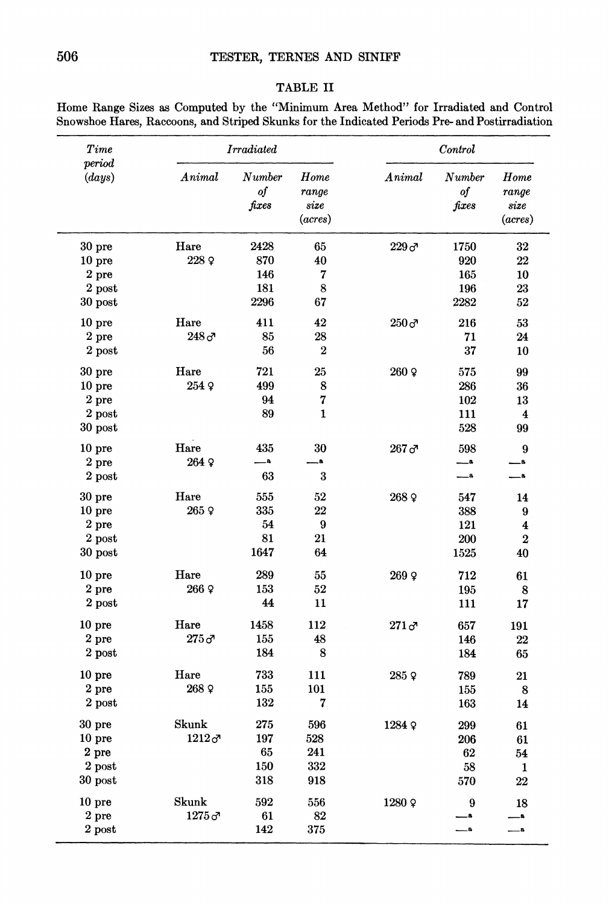| TABLE | л |
|-------|---|
|-------|---|

| Time                           |                  | <b>Irradiated</b>                   |                                  |                  | Control                          |                                  |
|--------------------------------|------------------|-------------------------------------|----------------------------------|------------------|----------------------------------|----------------------------------|
| period<br>$\left( days\right)$ | Animal           | Number<br>of<br>$_{\mathit{fixes}}$ | Home<br>range<br>size<br>(acres) | Animal           | Number<br>of<br>$\mathit{fixes}$ | Home<br>range<br>size<br>(acres) |
| 30 <sub>pre</sub>              | Hare             | 2428                                | 65                               | 229 <sub>o</sub> | 1750                             | 32                               |
| 10 <sub>pre</sub>              | 228 9            | 870                                 | 40                               |                  | 920                              | 22                               |
| $2$ pre                        |                  | 146                                 | 7                                |                  | 165                              | 10                               |
| $2$ post                       |                  | 181                                 | 8                                |                  | 196                              | 23                               |
| $30$ post                      |                  | 2296                                | 67                               |                  | 2282                             | 52                               |
| 10 <sub>pre</sub>              | Hare             | 411                                 | 42                               | $250\,\sigma$    | 216                              | 53                               |
| 2 pre                          | 248 <sub>o</sub> | 85                                  | 28                               |                  | 71                               | 24                               |
| $2$ post                       |                  | 56                                  | $\boldsymbol{2}$                 |                  | 37                               | 10                               |
| 30 pre                         | Hare             | 721                                 | 25                               | $260$ Q          | 575                              | 99                               |
| 10 <sub>pre</sub>              | 254 9            | 499                                 | 8                                |                  | 286                              | 36                               |
| 2 <sub>pre</sub>               |                  | 94                                  | 7                                |                  | 102                              | 13                               |
| 2 post                         |                  | 89                                  | $\mathbf{1}$                     |                  | 111                              | $\overline{\mathbf{4}}$          |
| 30 post                        |                  |                                     |                                  |                  | 528                              | 99                               |
| $10$ pre                       | Hare             | 435                                 | 30                               | 267 <sub>o</sub> | 598                              | 9                                |
| 2 pre                          | 264 9            | <b>A</b>                            | a.                               |                  | — 8                              | a                                |
| $2$ post                       |                  | 63                                  | 3                                |                  | $-a$                             | a.                               |
| 30 <sub>pre</sub>              | Hare             | 555                                 | 52                               | 268 ♀            | 547                              | 14                               |
| 10 <sub>pre</sub>              | 265 º            | 335                                 | 22                               |                  | 388                              | 9                                |
| $2$ pre                        |                  | 54                                  | $\boldsymbol{9}$                 |                  | 121                              | $\overline{\mathbf{4}}$          |
| $2$ post                       |                  | 81                                  | 21                               |                  | 200                              | $\overline{2}$                   |
| $30$ post                      |                  | 1647                                | 64                               |                  | 1525                             | 40                               |
| 10 <sub>pre</sub>              | Hare             | 289                                 | 55                               | $269$ $9$        | 712                              | 61                               |
| $2$ pre                        | 266 9            | 153                                 | 52                               |                  | 195                              | 8                                |
| 2 post                         |                  | 44                                  | 11                               |                  | 111                              | 17                               |
| 10 <sub>pre</sub>              | Hare             | 1458                                | 112                              | $271\sigma$      | 657                              | 191                              |
| $2$ pre                        | $275\sigma$      | 155                                 | 48                               |                  | 146                              | 22                               |
| $2$ post                       |                  | 184                                 | 8                                |                  | 184                              | 65                               |
| 10 <sub>pre</sub>              | Hare             | 733                                 | 111                              | 285 ହ            | 789                              | 21                               |
| 2 pre                          | 268 º            | 155                                 | 101                              |                  | 155                              | 8                                |
| 2 post                         |                  | 132                                 | 7                                |                  | 163                              | 14                               |
| 30 <sub>pre</sub>              | Skunk            | 275                                 | 596                              | 1284 9           | 299                              | 61                               |
| 10 <sub>pre</sub>              | $1212\sigma$     | 197                                 | 528                              |                  | 206                              | 61                               |
| 2 pre                          |                  | 65                                  | 241                              |                  | 62                               | 54                               |
| $2$ post                       |                  | 150                                 | 332                              |                  | 58                               | 1                                |
| $30$ post                      |                  | 318                                 | 918                              |                  | 570                              | 22                               |
| 10 <sub>pre</sub>              | Skunk            | 592                                 | 556                              | 1280 ହ           | 9                                | 18                               |
| $2$ pre                        | 1275c            | 61                                  | 82                               |                  | .a                               | $\overline{\mathbf{a}}$          |
| $2$ post                       |                  | 142                                 | 375                              |                  | $\overline{\mathbf{a}}$          | a.                               |

**Home Range Sizes as Computed by the "Minimum Area Method" for Irradiated and Control Snowshoe Hares, Raccoons, and Striped Skunks for the Indicated Periods Pre- and Postirradiation**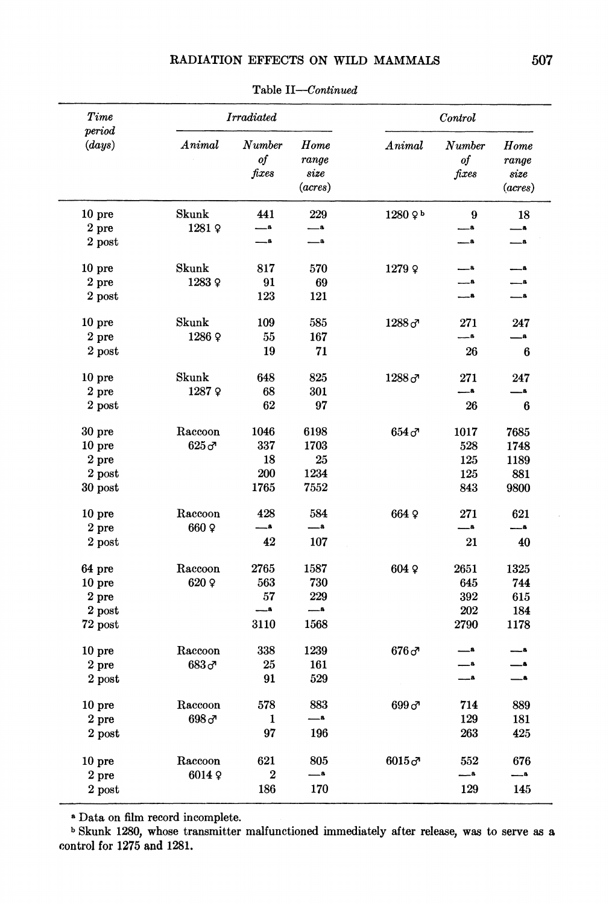# **RADIATION EFFECTS ON WILD MAMMALS 507**

| Time<br>period<br>Animal<br>$\left( days\right)$ |                       | <b>Irradiated</b>                |        | Control               |                                  |      |
|--------------------------------------------------|-----------------------|----------------------------------|--------|-----------------------|----------------------------------|------|
|                                                  | Number<br>of<br>fixes | Home<br>range<br>size<br>(acres) | Animal | Number<br>of<br>fixes | Home<br>range<br>size<br>(acres) |      |
| 10 pre                                           | Skunk                 | 441                              | 229    | $1280$ $9b$           | 9                                | 18   |
| $2$ pre                                          | 1281 ହ                | — 8                              |        |                       | a.                               | -8   |
| 2 post                                           |                       | -8                               | $-a$   |                       | $\overline{\phantom{a}}$         | _a   |
| 10 <sub>pre</sub>                                | Skunk                 | 817                              | 570    | 1279 ହ                | $-8$                             | — 8  |
| 2 pre                                            | 12839                 | 91                               | 69     |                       | $-a$                             | в    |
| 2 post                                           |                       | 123                              | 121    |                       | $-4$                             | -8   |
| 10 <sub>pre</sub>                                | Skunk                 | 109                              | 585    | $1288\sigma$          | 271                              | 247  |
| 2 pre                                            | 12869                 | 55                               | 167    |                       | $-8$                             | — 8  |
| $2$ post                                         |                       | 19                               | 71     |                       | 26                               | 6    |
| 10 <sub>pre</sub>                                | Skunk                 | 648                              | 825    | $1288\,$ ರ್           | 271                              | 247  |
| 2 pre                                            | 1287 º                | 68                               | 301    |                       |                                  | $-8$ |
| $2$ post                                         |                       | 62                               | 97     |                       | 26                               | 6    |
| 30 pre                                           | Raccoon               | 1046                             | 6198   | $654\sigma$           | 1017                             | 7685 |
| 10 <sub>pre</sub>                                | $625\sigma$           | 337                              | 1703   |                       | 528                              | 1748 |
| 2 <sub>pre</sub>                                 |                       | 18                               | 25     |                       | 125                              | 1189 |
| $2$ post                                         |                       | 200                              | 1234   |                       | 125                              | 881  |
| $30$ post                                        |                       | 1765                             | 7552   |                       | 843                              | 9800 |
| 10 pre                                           | Raccoon               | 428                              | 584    | 664 º                 | 271                              | 621  |
| 2 pre                                            | 660 Q                 | $-$                              | $-8$   |                       | $-a$                             | — 8  |
| 2 post                                           |                       | 42                               | 107    |                       | 21                               | 40   |
| 64 pre                                           | Raccoon               | 2765                             | 1587   | 604 ହ                 | 2651                             | 1325 |
| 10 <sub>pre</sub>                                | 620 º                 | 563                              | 730    |                       | 645                              | 744  |
| 2 pre                                            |                       | 57                               | 229    |                       | 392                              | 615  |
| $2$ post                                         |                       |                                  | $-a$   |                       | 202                              | 184  |
| $72$ post                                        |                       | 3110                             | 1568   |                       | 2790                             | 1178 |
| 10 pre                                           | Raccoon               | 338                              | 1239   | $676\sigma$           | $\overline{\phantom{a}}$         | -8   |
| $2$ pre                                          | 683 අ                 | 25                               | 161    |                       | $-8$                             | A    |
| $2$ post                                         |                       | 91                               | 529    |                       | $-a$                             | — 8  |
| 10 <sub>pre</sub>                                | Raccoon               | 578                              | 883    | $699\sigma$           | 714                              | 889  |
| 2 pre                                            | 698 ඌ                 | 1                                | _a     |                       | 129                              | 181  |
| 2 post                                           |                       | 97                               | 196    |                       | 263                              | 425  |
| 10 <sub>pre</sub>                                | Raccoon               | 621                              | 805    | $6015\sigma$          | 552                              | 676  |
| $2$ pre                                          | 60149                 | $\boldsymbol{2}$                 | _a     |                       | .a                               | a,   |
| 2 post                                           |                       | 186                              | 170    |                       | 129                              | 145  |

**Table II-Continued** 

**<sup>a</sup>Data on film record incomplete.** 

**<sup>b</sup>Skunk 1280, whose transmitter malfunctioned immediately after release, was to serve as a control for 1275 and 1281.**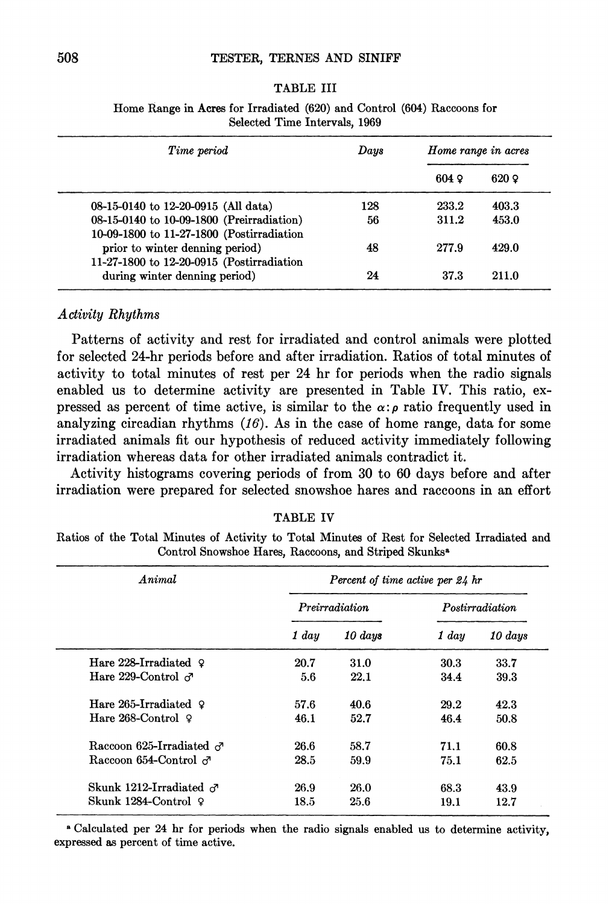### **TABLE III**

| Time period                                                                            | Days | Home range in acres |              |  |
|----------------------------------------------------------------------------------------|------|---------------------|--------------|--|
|                                                                                        |      | $604$ $\Omega$      | $620 \Omega$ |  |
| 08-15-0140 to 12-20-0915 (All data)                                                    | 128  | 233.2               | 403.3        |  |
| 08-15-0140 to 10-09-1800 (Preirradiation)<br>10-09-1800 to 11-27-1800 (Postirradiation | 56   | 311.2               | 453.0        |  |
| prior to winter denning period)                                                        | 48   | 277.9               | 429.0        |  |
| 11-27-1800 to 12-20-0915 (Postirradiation<br>during winter denning period)             | 24   | 37.3                | 211.0        |  |

**Home Range in Acres for Irradiated (620) and Control (604) Raccoons for Selected Time Intervals, 1969** 

# **Activity Rhythms**

**Patterns of activity and rest for irradiated and control animals were plotted for selected 24-hr periods before and after irradiation. Ratios of total minutes of activity to total minutes of rest per 24 hr for periods when the radio signals enabled us to determine activity are presented in Table IV. This ratio, ex**pressed as percent of time active, is similar to the  $\alpha$ :<sub>*p*</sub> ratio frequently used in **analyzing circadian rhythms (16). As in the case of home range, data for some irradiated animals fit our hypothesis of reduced activity immediately following irradiation whereas data for other irradiated animals contradict it.** 

**Activity histograms covering periods of from 30 to 60 days before and after irradiation were prepared for selected snowshoe hares and raccoons in an effort** 

### **TABLE IV**

**Ratios of the Total Minutes of Activity to Total Minutes of Rest for Selected Irradiated and Control Snowshoe Hares, Raccoons, and Striped Skunksa** 

| Animal                          | Percent of time active per 24 hr |              |                 |         |  |
|---------------------------------|----------------------------------|--------------|-----------------|---------|--|
|                                 | Preirradiation                   |              | Postirradiation |         |  |
|                                 | 1 day                            | $10 \; days$ | 1 day           | 10 days |  |
| Hare 228-Irradiated $\Omega$    | 20.7                             | 31.0         | 30.3            | 33.7    |  |
| Hare 229-Control $\sigma$       | 5.6                              | 22.1         | 34.4            | 39.3    |  |
| Hare 265-Irradiated $\Omega$    | 57.6                             | 40.6         | 29.2            | 42.3    |  |
| Hare $268$ -Control $\Omega$    | 46.1                             | 52.7         | 46.4            | 50.8    |  |
| Raccoon 625-Irradiated $\sigma$ | 26.6                             | 58.7         | 71.1            | 60.8    |  |
| Raccoon 654-Control $\sigma$    | 28.5                             | 59.9         | 75.1            | 62.5    |  |
| Skunk 1212-Irradiated $\sigma$  | 26.9                             | 26.0         | 68.3            | 43.9    |  |
| Skunk 1284-Control ♀            | 18.5                             | 25.6         | 19.1            | 12.7    |  |

**<sup>a</sup>Calculated per 24 hr for periods when the radio signals enabled us to determine activity, expressed as percent of time active.**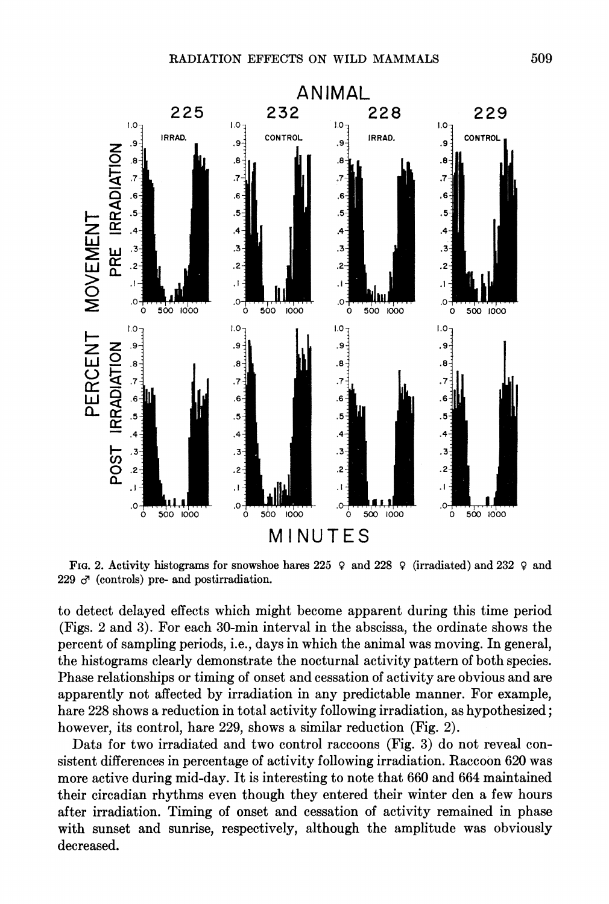

**FIG. 2. Activity histograms for snowshoe hares 225 9 and 228 9 (irradiated) and 232 9 and 229 ci (controls) pre- and postirradiation.** 

**to detect delayed effects which might become apparent during this time period (Figs. 2 and 3). For each 30-min interval in the abscissa, the ordinate shows the percent of sampling periods, i.e., days in which the animal was moving. In general, the histograms clearly demonstrate the nocturnal activity pattern of both species. Phase relationships or timing of onset and cessation of activity are obvious and are apparently not affected by irradiation in any predictable manner. For example, hare 228 shows a reduction in total activity following irradiation, as hypothesized; however, its control, hare 229, shows a similar reduction (Fig. 2).** 

**Data for two irradiated and two control raccoons (Fig. 3) do not reveal consistent differences in percentage of activity following irradiation. Raccoon 620 was more active during mid-day. It is interesting to note that 660 and 664 maintained their circadian rhythms even though they entered their winter den a few hours after irradiation. Timing of onset and cessation of activity remained in phase with sunset and sunrise, respectively, although the amplitude was obviously decreased.**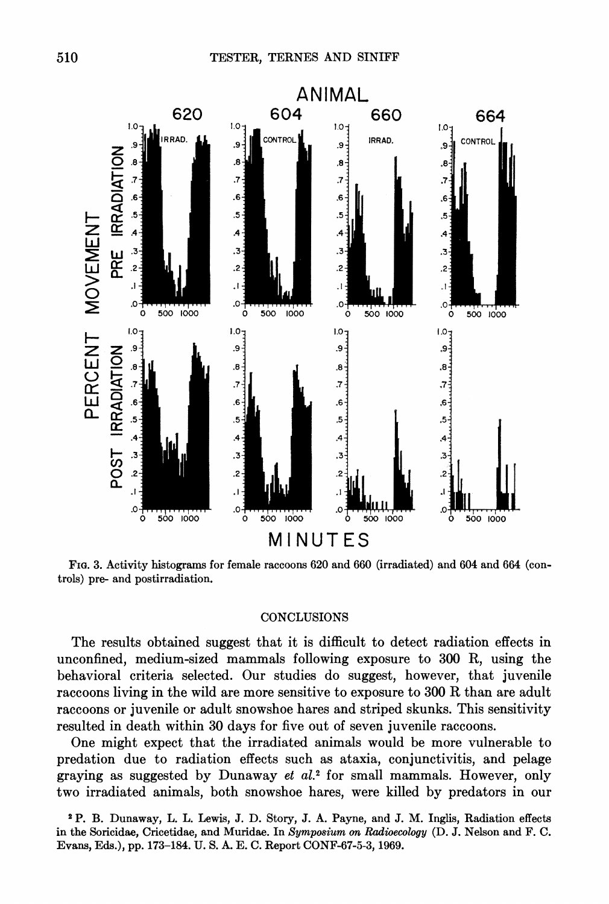

FrG. 3. Activity histograms for female raccoons 620 and 660 (irradiated) and 604 and 664 (con**trols) pre- and postirradiation.** 

### **CONCLUSIONS**

The results obtained suggest that it is difficult to detect radiation effects in **unconfined, medium-sized mammals following exposure to 300 R, using the behavioral criteria selected. Our studies do suggest, however, that juvenile raccoons living in the wild are more sensitive to exposure to 300 R than are adult raccoons or juvenile or adult snowshoe hares and striped skunks. This sensitivity resulted in death within 30 days for five out of seven juvenile raccoons.** 

**two irradiated animals, both snowshoe hares, were killed by predators in our two irradiated animals, both snowshoe hares, were killed by predators in our One might expect that the irradiated animals would be more vulnerable to predation due to radiation effects such as ataxia, conjunctivitis, and pelage graying as suggested by Dunaway et al.2 for small mammals. However, only** 

**<sup>2</sup>P. B. Dunaway, L. L. Lewis, J. D. Story, J. A. Payne, and J. M. Inglis, Radiation effects in the Soricidae, Cricetidae, and Muridae. In Symposium on Radioecology (D. J. Nelson and F. C. Evans, Eds.), pp. 173-184. U. S. A. E. C. Report CONF-67-5-3, 1969.**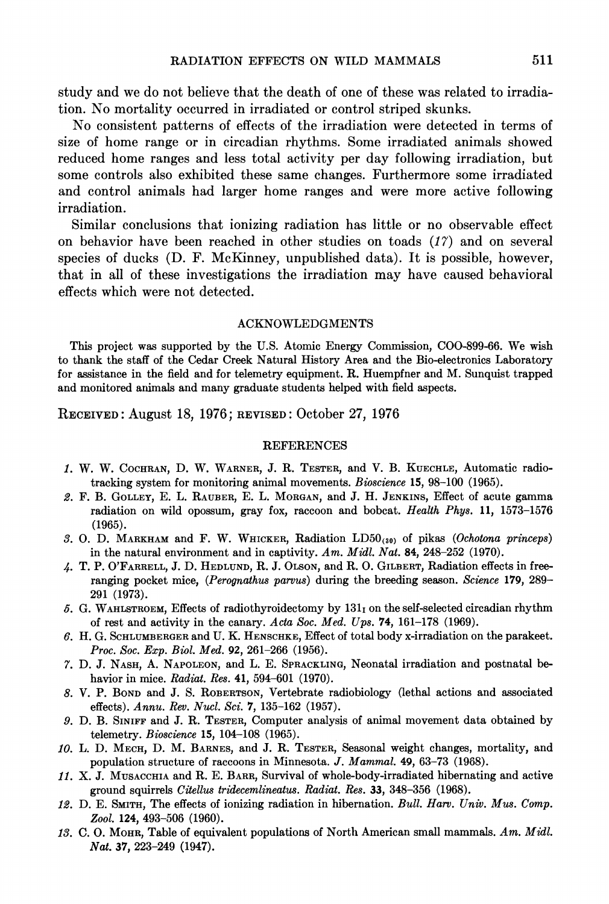**study and we do not believe that the death of one of these was related to irradiation. No mortality occurred in irradiated or control striped skunks.** 

**No consistent patterns of effects of the irradiation were detected in terms of size of home range or in circadian rhythms. Some irradiated animals showed reduced home ranges and less total activity per day following irradiation, but some controls also exhibited these same changes. Furthermore some irradiated and control animals had larger home ranges and were more active following irradiation.** 

**Similar conclusions that ionizing radiation has little or no observable effect on behavior have been reached in other studies on toads (17) and on several species of ducks (D. F. McKinney, unpublished data). It is possible, however, that in all of these investigations the irradiation may have caused behavioral effects which were not detected.** 

#### **ACKNOWLEDGMENTS**

**This project was supported by the U.S. Atomic Energy Commission, COO-899-66. We wish to thank the staff of the Cedar Creek Natural History Area and the Bio-electronics Laboratory for assistance in the field and for telemetry equipment. R. Huempfner and M. Sunquist trapped and monitored animals and many graduate students helped with field aspects.** 

**RECEIVED: August 18, 1976; REVISED: October 27, 1976** 

#### **REFERENCES**

- **1. W. W. COCHRAN, D. W. WARNER, J. R. TESTER, and V. B. KUECHLE, Automatic radiotracking system for monitoring animal movements. Bioscience 15, 98-100 (1965).**
- **2. F. B. GOLLEY, E. L. RAUBER, E. L. MORGAN, and J. H. JENKINS, Effect of acute gamma radiation on wild opossum, gray fox, raccoon and bobcat. Health Phys. 11, 1573-1576 (1965).**
- **3. 0. D. MARKHAM and F. W. WHICKER, Radiation LD50(30) of pikas (Ochotona princeps)**  in the natural environment and in captivity. Am. Midl. Nat. 84, 248-252 (1970).
- **4. T. P. O'FARRELL, J. D. HEDLUND, R. J. OLSON, and R. O. GILBERT, Radiation effects in freeranging pocket mice, (Perognathus parvus) during the breeding season. Science 179, 289- 291 (1973).**
- **5. G. WAHLSTROEM, Effects of radiothyroidectomy by 131i on the self-selected circadian rhythm of rest and activity in the canary. Acta Soc. Med. Ups. 74, 161-178 (1969).**
- **6. H. G. SCHLUMBERGER and U. K. HENSCHKE, Effect of total body x-irradiation on the parakeet. Proc. Soc. Exp. Biol. Med. 92, 261-266 (1956).**
- **7. D. J. NASH, A. NAPOLEON, and L. E. SPRACKLING, Neonatal irradiation and postnatal behavior in mice. Radiat. Res. 41, 594-601 (1970).**
- **8. V. P. BOND and J. S. ROBERTSON, Vertebrate radiobiology (lethal actions and associated effects). Annu. Rev. Nucl. Sci. 7, 135-162 (1957).**
- **9. D. B. SINIFF and J. R. TESTER, Computer analysis of animal movement data obtained by telemetry. Bioscience 15, 104-108 (1965).**
- **10. L. D. MECH, D. M. BARNES, and J. R. TESTER, Seasonal weight changes, mortality, and population structure of raccoons in Minnesota. J. Mammal. 49, 63-73 (1968).**
- **11. X. J. MUSACCHIA and R. E. BARR, Survival of whole-body-irradiated hibernating and active ground squirrels Citellus tridecemlineatus. Radiat. Res. 33, 348-356 (1968).**
- **12. D. E. SMITH, The effects of ionizing radiation in hibernation. Bull. Harv. Univ. Mus. Comp. Zool. 124, 493-506 (1960).**
- **13. C. O. MOHR, Table of equivalent populations of North American small mammals. Am. Midl. Nat. 37, 223-249 (1947).**